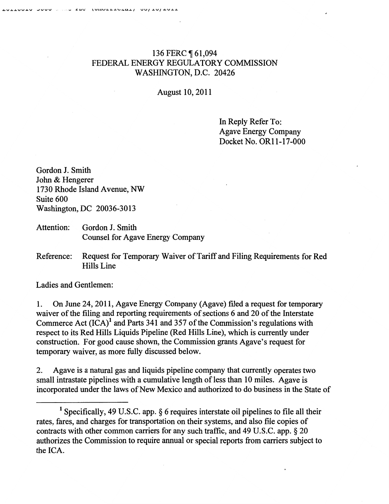## 136 FERC **161,094** FEDERAL ENERGY REGULATORY COMMISSION WASHINGTON, D.C. 20426

August 10, 2011

In Reply Refer To: Agave Energy Company Docket No. OR11-17 -000

Gordon J. Smith John & Hengerer 1730 Rhode Island Avenue, NW Suite 600 Washington, DC 20036-3013

- Attention: Gordon J. Smith Counsel for Agave Energy Company
- Reference: Request for Temporary Waiver of Tariff and Filing Requirements for Red Hills Line

Ladies and Gentlemen:

1. On June 24, 2011, Agave Energy Company (Agave) filed a request for temporary waiver of the filing and reporting requirements of sections 6 and 20 of the Interstate Commerce Act  $(ICA)^1$  and Parts 341 and 357 of the Commission's regulations with respect to its Red Hills Liquids Pipeline (Red Hills Line), which is currently under construction. For good cause shown, the Commission grants Agave's request for temporary waiver, as more fully discussed below.

2. Agave is a natural gas and liquids pipeline company that currently operates two small intrastate pipelines with a cumulative length of less than 10 miles. Agave is incorporated under the laws of New Mexico and authorized to do business in the State of

<sup>&</sup>lt;sup>1</sup> Specifically, 49 U.S.C. app.  $\S$  6 requires interstate oil pipelines to file all their rates, fares, and charges for transportation on their systems, and also file copies of contracts with other common carriers for any such traffic, and 49 U.S.C. app. § 20 authorizes the Commission to require annual or special reports from carriers subject to the ICA.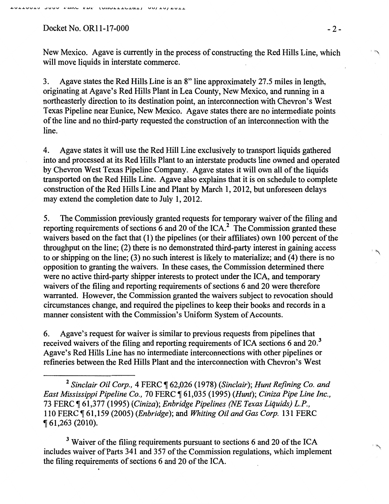## Docket No. OR11-17-000 -2-

New Mexico. Agave is currently in the process of constructing the Red Hills Line, which will move liquids in interstate commerce.

3. Agave states the Red Hills Line is an 8" line approximately 27.5 miles in length, originating at Agave's Red Hills Plant in Lea County, New Mexico, and running in a northeasterly direction to its destination point, an interconnection with Chevron's West Texas Pipeline near Eunice, New Mexico. Agave states there are no intermediate points of the line and no third-party requested the construction of an interconnection with the line.

4. Agave states it will use the Red Hill Line exclusively to transport liquids gathered into and processed at its Red Hills Plant to an interstate products line owned and operated by Chevron West Texas Pipeline Company. Agave states it will own all of the liquids transported on the Red Hills Line. Agave also explains that it is on schedule to complete construction of the Red Hills Line and Plant by March I, 2012, but unforeseen delays may extend the completion date to July 1, 2012.

5. The Commission previously granted requests for temporary waiver of the filing and reporting requirements of sections 6 and 20 of the  $ICA<sup>2</sup>$ . The Commission granted these waivers based on the fact that (1) the pipelines (or their affiliates) own 100 percent of the throughput on the line; (2) there is no demonstrated third-party interest in gaining access to or shipping on the line; (3) no such interest is likely to materialize; and (4) there is no opposition to granting the waivers. In these cases, the Commission determined there were no active third-party shipper interests to protect under the ICA, and temporary waivers of the filing and reporting requirements of sections 6 and 20 were therefore warranted. However, the Commission granted the waivers subject to revocation should circumstances change, and required the pipelines to keep their books and records in a manner consistent with the Commission's Uniform System of Accounts.

6. Agave's request for waiver is similar to previous requests from pipelines that received waivers of the filing and reporting requirements of ICA sections 6 and  $20<sup>3</sup>$ Agave's Red Hills Line has no intermediate interconnections with other pipelines or refineries between the Red Hills Plarit and the interconnection with Chevron's West

<sup>3</sup> Waiver of the filing requirements pursuant to sections 6 and 20 of the ICA includes waiver of Parts 341 and 357 of the Commission regulations, which implement the filing requirements of sections 6 and 20 of the ICA.

'"'

 $\mathbf{I} \subset \mathbb{R}$ 

<sup>&</sup>lt;sup>2</sup> Sinclair Oil Corp., 4 FERC ¶ 62,026 (1978) (Sinclair); Hunt Refining Co. and *East Mississippi Pipeline Co.,* 70 FERC ~ 61,035 (1995) *(Hunt); Ciniza Pipe Line Inc.,*  73 FERC ~ 61,377 (1995) *(Ciniza); Enbridge Pipelines (NE Texas Liquids) L.P.,*  110 FERC ~ 61,159 (2005) *(Enbridge* ); and *Whiting Oil and Gas Corp.* 131 FERC <sup>~</sup>61,263 (2010).